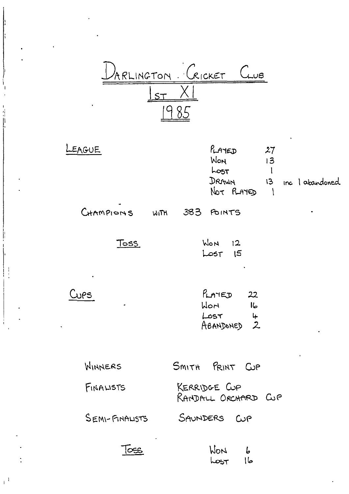

| LEAGUE    |      | $\ell$ $A$ $E$<br>WON<br>LOST<br>DRAWN<br>Not PLAMED | 27<br>13<br>13 | inc I abandoned |  |
|-----------|------|------------------------------------------------------|----------------|-----------------|--|
| CHAMPIONS | WITH | <b>383 POINTS</b>                                    |                | ٠               |  |

**Toss** 

| WON         | 12 <sub>1</sub> |
|-------------|-----------------|
| $L$ $\circ$ | 15              |

 $Cups$ 

 $\mathcal{L}^{\mathcal{A}}$ 

| PLATED    | 22                                                        |
|-----------|-----------------------------------------------------------|
| HON.      | lL                                                        |
| LOST      | 4                                                         |
| ABANDONED | $\mathcal{Z}% _{M_{1},M_{2}}^{\alpha,\beta}(\varepsilon)$ |

WINNERS SMITH PRINT CUP FINALISTS

KERRIDGE CUP<br>RANDALL ORCHARD CUP

SAUNDERS CUP SEMI-FINALISTS

 $\tau$ 

WON b  $|b|$  $\text{Lost}$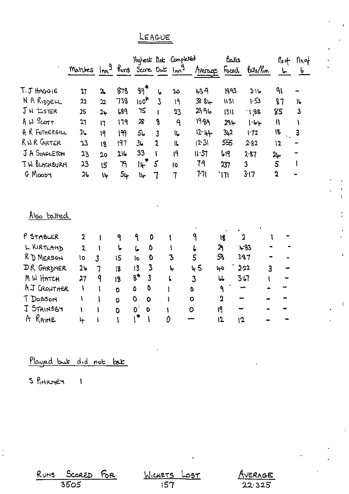## LEAGUE

|                     | Matches Inn <sup>9</sup> Runs Score Out Inn <sup>9</sup> |                |              |                               |              | Highest Not Completed    | Avence        | Balls                   | Foced Bells/Run | <b>No</b> of<br>$\mathbf{r}$ | $\eta_{o,\sigma}$<br>$\mathbf{b}$ |
|---------------------|----------------------------------------------------------|----------------|--------------|-------------------------------|--------------|--------------------------|---------------|-------------------------|-----------------|------------------------------|-----------------------------------|
| T.J HAGGIE          | 27                                                       | $\mathfrak{a}$ | 878          | $99$ *                        | ما           | ည                        | 439           | 1893                    | 2.16            | ٩١                           |                                   |
| N A RIDDELL         | 22                                                       | 22             | 738          | $100*$                        | $\mathbf{3}$ | 19                       | $388 +$       | 1131                    | 1.53            | 87                           | ۱۱.                               |
| J W tister          | 25                                                       | $2+$           | 689          | 75                            | t            | 23                       | 29.96         | 1311                    | 1,88            | 85                           | 3                                 |
| A W Scorr           | 71                                                       | 17             | 179          | $\boldsymbol{\mathcal{X}}$    | 8            | 9                        | 1989          | 294                     | 1.64            | $\mathbf{I}$                 |                                   |
| A R FOTHERGILL      | 2 <sub>2</sub>                                           | 19             | ۱۹           | 56                            | 3            | l6                       | $12.4+$       | 3,2                     | 1.72            | 18                           | 3                                 |
| RNR GRTER           | 23                                                       | 18             | 197          | 36                            | 2            | ll,                      | $ 2 \cdot 3 $ | 555                     | 2.82            | $\mathbf{L}$                 |                                   |
| JA SINGLETON        | 23.                                                      | 20             | 216          | 33                            |              | 19                       | 11.37         | 619                     | 287             | سلا                          |                                   |
| <b>TW BLACKBURM</b> | 23                                                       | 15             | ۴            | 14                            | 5            | 10                       | 79            | 237                     | 3               | 5                            | ł                                 |
| G MOODY             | 26                                                       | ۱Ļ             | 54           | ١ų.                           | 7            | $\overline{\mathcal{L}}$ | 771           | `l71                    | 3:17            | $\mathbf 2$                  |                                   |
| Also batted         |                                                          |                |              |                               |              |                          |               |                         |                 |                              |                                   |
| P STABLER           | $\overline{\mathbf{2}}$                                  |                | ٩            | $\mathbf{P}$<br>0             |              |                          | ٩             | 18                      | 2               |                              |                                   |
| L KIRTLAND          | $\overline{2}$                                           | 1              | $\mathbf{L}$ | O                             |              | l                        |               | 2 <sub>1</sub>          | 483             |                              |                                   |
| RD MERSON           | ١o                                                       | $\overline{3}$ | 15           | ما<br>0<br>lo                 |              | V<br>3                   | ί<br>5        | 58                      | 387             |                              |                                   |
| DR GARDNER          | 2 <sub>b</sub>                                           | $\overline{1}$ | 18           | $\overline{\mathbf{3}}$<br>13 |              | ኍ                        | 45            | مبا                     | 2.22            | $\overline{\mathbf{3}}$      |                                   |
| M W HATCH           | 27                                                       | 9              | 18           | $8$ *<br>$\overline{3}$       |              | L                        | 3             | $\overline{\mathbf{b}}$ | 3.67            |                              |                                   |
| AJ CROWTHER         | $\mathbf{I}$                                             | ١              |              | 0<br>٥                        |              |                          | O             | ٩                       | ÷               |                              |                                   |
| T Dobson            | V                                                        |                | Ō            | O<br>$\mathbf 0$              |              |                          | $\circ$       | $\mathbf 2$             | w.              |                              |                                   |
| J STAINSBY          | ١                                                        |                | $\mathbf 0$  | $\mathbf{O}^{\prime}$<br>0    |              |                          | 0             | ١٩                      | -               |                              |                                   |
| A RAINE             | ᡰᡟ                                                       |                | $\bullet$    | ∣*<br>١                       |              | 0                        |               | 12                      | 12              |                              |                                   |

Played but did not bat

S PINKNEY 1

 $\frac{1}{\epsilon}$ 

 $R_{UNS}$ Score<mark>d</mark><br>3505  $6R$ 

MICKETS <u>read</u>

JERAGE A  $22.325$ 

ï

 $\mathbf{I}$ 

 $\overline{1}$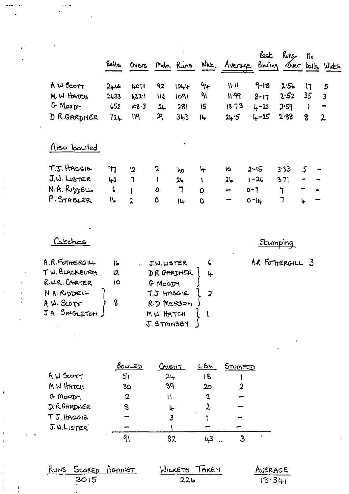| $\blacksquare$        | Balls   | Overs          |             | Mdn. Runs               |             | Whe. Average | <u>best</u><br>Bowling | Runs | no             | Over balls Wides        |
|-----------------------|---------|----------------|-------------|-------------------------|-------------|--------------|------------------------|------|----------------|-------------------------|
| A.W. SCOTT            | $2 - 4$ | 4071           | 92          | 1044                    | ٩٣          | ハハ           | $9 - 18$               | 2.56 | 17             | 5                       |
| M.W HATCH             | 2633    | 432.1          | 116         | 1091                    | ٩١          | 11.99        | $8 - 17$               | 2.52 | 35             | $\overline{\mathbf{3}}$ |
| G MOODY               | 652     | 108.3          | 24          | 281                     | 15          | 18.73        | $4 - 22$               | 2.59 |                |                         |
| D R.GARDNER<br>$\sim$ | 72      | 119            | ጓ           | 343                     | 14          | 24.5         | $4 - 25$               | 2.88 | 8              | $\overline{2}$          |
| Also bowled           |         |                |             | $\mathbf{r}_\mathrm{m}$ |             |              |                        |      |                |                         |
| T.J. HAGGIE           | דר      | 12             | $\mathbf 2$ | ho                      | ᡶ           | ١o           | $2 - 15$               | 3.33 | $\overline{5}$ |                         |
| $J.W.$ LigTER         | 42      | 7              | ł           | 26                      | ١           | 26           | $1 - 26$               | 371  |                |                         |
| N.A. RIDDELL          | L       |                | $\bullet$   | 7                       | $\mathbf O$ | -            | $0 - 7$                | 7    |                |                         |
| P. STABLER            | 16      | $\overline{2}$ | ٥           | 14                      | O           | -            | $0 -  u $              | ٦    | 4              |                         |

 $\label{eq:2.1} \frac{1}{2} \int_{\mathbb{R}^3} \frac{1}{\sqrt{2}} \, \mathrm{d} x \, \mathrm{d} x \, \mathrm{d} x \, \mathrm{d} x \, \mathrm{d} x \, \mathrm{d} x \, \mathrm{d} x \, \mathrm{d} x \, \mathrm{d} x \, \mathrm{d} x \, \mathrm{d} x \, \mathrm{d} x \, \mathrm{d} x \, \mathrm{d} x \, \mathrm{d} x \, \mathrm{d} x \, \mathrm{d} x \, \mathrm{d} x \, \mathrm{d} x \, \mathrm{d} x \, \mathrm{d} x \, \mathrm{d} x \, \mathrm{d$ 

 $\mathcal{L}(\mathcal{L}^{\text{max}})$  and  $\mathcal{L}(\mathcal{L}^{\text{max}})$ 

 $\frac{1}{1}$ 

 $\frac{1}{\sqrt{2}}$ 

 $\frac{1}{2}$ 

 $\ddot{\phantom{1}}$ 

 $\frac{1}{2}$ 

 $\begin{pmatrix} 1 \\ 1 \\ 1 \\ 1 \end{pmatrix}$ 

|                |    |             |                         | Stumping         |
|----------------|----|-------------|-------------------------|------------------|
| A.R.FOTHERGILL | 16 | J.W. LISTER | 6                       | A.R FOTHERGILL 3 |
| TW. BLACKBURN  | 12 | DR GARDNER  | 4                       |                  |
| R.U.R. CARTER  | 10 | G MOODY     |                         |                  |
| N A. RIDDELL   |    | T.J HAGGIE  | $\overline{\mathbf{2}}$ |                  |
| A W. SCOTT     | 8  | R.D MERSON  |                         |                  |
| JA SINGLETON.  |    | MW HATCH    |                         |                  |
|                |    | J. STAINSBY |                         |                  |
|                |    |             |                         |                  |
|                |    |             |                         |                  |

 $\frac{1}{2}$ 

 $\frac{1}{2}$ 

 $\mathcal{L}^{\text{max}}_{\text{max}}$ 

|               | BOWLED         | <b>AUGHT</b> | しらい | STUMPED |  |
|---------------|----------------|--------------|-----|---------|--|
| AW SCOTT      | 5 <sub>1</sub> | $2 +$        | 18  |         |  |
| MW HATCH      | 30             | 39           | 20  |         |  |
| G MOODY       | 2              | Ħ            | 2   |         |  |
| D. R. GARDNER | 8              | ⊬            |     |         |  |
| TJ. HAGGIE    |                | 3            |     |         |  |
| J.W.LISTER    |                |              |     |         |  |
|               |                |              |     |         |  |

|      | RUNS SCORED AGAINST | WICKETS TAKEN | AVERAGE |
|------|---------------------|---------------|---------|
| 3015 |                     | 226           | 13.341  |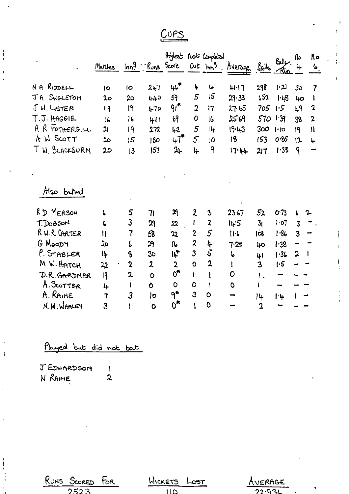$Cups$ 

|                | Marches          |                |                |                                  |                  | Highest not Completed | Inn <sup>9</sup> Runs Score Out Inn <sup>9</sup> Average | بكليله         | بمالكا<br><u> Kun</u> | Nо<br>4 | N٥<br>6.       |
|----------------|------------------|----------------|----------------|----------------------------------|------------------|-----------------------|----------------------------------------------------------|----------------|-----------------------|---------|----------------|
| NA RIDDELL     | 10               | lo             | $2 + 7$        | $\mu^*$                          | 4                | ما                    | 41.17                                                    | 298            | עין                   | 3٥      | 7              |
| JA SINGLETON   | 20 <sub>o</sub>  | 20             | 440            | 59                               | 5                | 15                    | 29.33                                                    | 652            | 1.48                  | 40      | ı              |
| JW. LISTER     | 19               | l٩             | 470            | $91$ *                           | $\overline{2}$   | 17                    | 27.65                                                    | 705            | 1.5                   | 49      | $\mathbf 2$    |
| T.J. HAGGIE    | 16               | 16             | 411            | b <sup>q</sup>                   | 0                | 16                    | 25.69                                                    | 570            | 1.39                  | 38      | $\overline{2}$ |
| A R FOTHERGILL | $\mathfrak{a}_1$ | 19             | 272            | $+2$                             | 5                | 14                    | $19 - 13$                                                | 300            | 1·10                  | 19      | $\mathbf{H}$   |
| A W SCOTT      | مد               | 15             | 180            | $47$ <sup>*</sup>                | $\overline{5}$   | 10                    | 18                                                       | 153            | 0.35                  | ۱2      | 4              |
| TW. BLACKBURN  | 20               | 13             | 157            | $2+$                             | 4                | ٩                     | 17.44                                                    | 217            | 1.38                  | ۹       |                |
| Also batted    |                  |                |                |                                  |                  |                       |                                                          |                |                       |         |                |
| RD MERSON      | ι                | 5              | 7 <sub>l</sub> | 29                               | 2                | 3                     | 23.67                                                    | 52             | $O-73$                | 6       |                |
| T. Dosson      | 6                | 3              | 29             | 22<br>$\mathbf{I}$               | ı                | $\overline{z}$        | 14.5                                                     | 3 <sub>t</sub> | 1.07                  | 3       |                |
| R W. R GARTER  | Ħ                | $\overline{1}$ | S <sub>8</sub> | 22                               | $\boldsymbol{2}$ | $\mathcal{S}$         | $11-6$                                                   | લિં            | 1.86                  | 3       |                |
| G MOODY        | 2о               | ι              | 29             | $\mathfrak{a}$                   | $\boldsymbol{z}$ | 4                     | 7.25                                                     | 40             | 1.38                  |         |                |
| P. STABLER     | 14               | 8              | 3 <sub>o</sub> | <b>I4*</b>                       | 3                | 5                     | 6                                                        | 41             | 1.36                  | ኋ       |                |
| M W. HATCH     | 22               | $\mathbf 2$    | $\mathbf{z}$   | $\mathbf 2$                      | O                | $\mathbf{c}$          | l                                                        | 3              | $\mathsf{I}$          |         |                |
| D.R. GARDNER   | 9                | 2              | O              | $0^{\bullet}$                    | L                |                       | 0                                                        | 1.             | ÷                     |         |                |
| A. SLOTTER     | 4                | t              | O              | $\mathbf 0$                      | 0                |                       | $\mathbf 0$                                              | I              |                       |         |                |
| A. RAINE       | 7                | $\mathcal{S}$  | lo             | $\mathsf{P}^\blacktriangleright$ | $\overline{3}$   | Ō                     |                                                          | 14             | <b>1</b> 4            |         |                |
| N.M. WHALEY    | 3                | l              | $\bullet$      | $0^*$                            | ١                | O                     |                                                          | $\mathbf 2$    |                       |         |                |

Played but did not bat

J EDWARDSON  $\mathbf{I}$ N RAINE  $\overline{2}$ 

 $\frac{1}{4}$ 

 $\mathfrak{t}$ 

 $\frac{1}{2}$ 

 $\overline{1}$ 

j.

| RUNS SCORED FOR | WICKETS LOST | AVERAGE             |
|-----------------|--------------|---------------------|
| 2523            |              | _________<br>22.93L |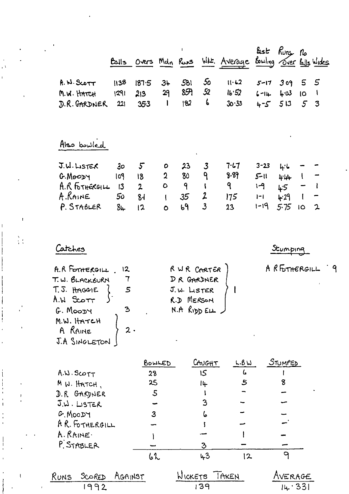|                                                                    | الطا                        | Overs Mdn Russ                                  |                                          |                              |                                                       | WHE. Average                   | しょと<br>Bowling Over Bulls Wides                  | $Kunx$ $no$                       |                               |                        |
|--------------------------------------------------------------------|-----------------------------|-------------------------------------------------|------------------------------------------|------------------------------|-------------------------------------------------------|--------------------------------|--------------------------------------------------|-----------------------------------|-------------------------------|------------------------|
| R.W.SCOTT<br>M.W. HATCH<br>D.R. GARDNER                            | 1138<br>1291<br>221         | 187.5<br>213<br>353                             | 34<br>29<br>l                            | 581<br>8 <del>7</del><br> 82 | 50<br>52<br>6                                         | 11.62<br>16.52<br>30.33        | $5 - 17$<br>$6 - 14$<br>$4 - 5$                  | 309<br>$4 - 03$<br>513            | 5<br><b>IO</b><br>$5^{\circ}$ | 5<br>$\mathbf{I}$<br>3 |
| Also bowled                                                        |                             |                                                 |                                          |                              |                                                       |                                |                                                  |                                   |                               |                        |
| J.W. LISTER<br>G. MOODY<br>A.R FOTHERGILL<br>A.RAINE<br>P. STABLER | 30<br>109<br>13<br>50<br>8և | $5^{\circ}$<br>18<br>$\overline{2}$<br>84<br>12 | 0<br>$\mathbf 2$<br>$\circ$<br>$\bullet$ | 23<br>80<br>٩<br>35<br>69    | $\mathbf{3}$<br>٩<br>$\overline{2}$<br>$\overline{3}$ | 7.17<br>9.89<br>9<br>175<br>23 | $3 - 23$<br>$5 - 11$<br>1-9<br>$ - $<br>$1 - 19$ | 4.6<br>4:44<br>45<br>4.29<br>5.75 | l<br>10                       | $\mathbf{z}$           |

Catches

 $\mathbf{A}$ 

 $\overline{1}$ 

 $\frac{\delta}{4}$  (

Stumping

RETHERGILL 9

| A.R FORTERGILL        | 12 | R WR CARTER      |  |
|-----------------------|----|------------------|--|
| T. W. BLACKBURN       |    | DR GARDNER       |  |
| T. J. HAGGIE          |    | J.W. LISTER      |  |
| $A.W.$ Sco $\tau\tau$ |    | R.D MERSON       |  |
| G. MOODY              |    | $N.A$ RIDD $EIL$ |  |
| M.W. HATCH            |    |                  |  |
| A RAINE               | 2. |                  |  |
| J.A SINGLETON         |    |                  |  |
|                       |    |                  |  |

|                     | BOWLED | CAUGHT | L.BW | STUMPED |
|---------------------|--------|--------|------|---------|
| A.W. SCOTT          | 28     | 15     | Ŀ    |         |
| M W. HATCH,         | 25     | 14     | 5    | 8       |
| D.R GARDNER         | 5      |        |      |         |
| $J.\omega$ . LISTER |        |        |      |         |
| G. MOODY            | 3      | 6      |      |         |
| AR. FOTHERGILL      |        |        |      |         |
| A. RAINE.           |        |        |      |         |
| P. STABLER          |        | З      |      |         |
|                     | 62     | 43     | 12   |         |
| $\bullet$           |        |        |      |         |

| RUNS SCORED AGAINST | WICKETS TAKEN | AVERAGE |
|---------------------|---------------|---------|
| 1992                | -139          | 14.331  |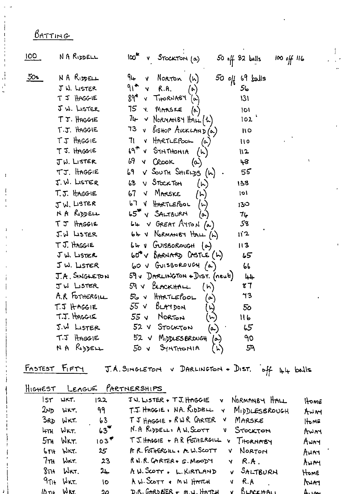## BATTING

| 100 <sub>1</sub> | NA RIDDELL     | $100^{\prime\prime}$<br>v Stockton (a)              | $50$ off 82 balls | $100$ off $116$ |
|------------------|----------------|-----------------------------------------------------|-------------------|-----------------|
| 50 <sub>5</sub>  | NA RIDDELL     | 94 -<br>v Norron (h)                                | $50$ off 69 kalls |                 |
|                  | J W. LISTER    | $91$ $\sqrt{6}$ R.A.<br>$(\hat{\bm{\gamma}})$       | 56                |                 |
|                  | T J HAGG-IE    | $89^*$ v THORNABY $(\alpha)$                        | 131               |                 |
|                  | JW. LISTER     | 75 Y. MARSKE<br>$(\triangleright)$                  | O                 |                 |
|                  | T.J. HAGGIE    | $74 - 8$ NORMANIBY HALL $(h)$                       | 102 <sup>1</sup>  |                 |
|                  | T.J. HAGGIE    | 73 v BISHOP AUCKLAND (a)                            | $\overline{11}$   |                 |
|                  | TJ HAGGIE      | 71 V HARTLEPOOL<br>$(\sim)$                         | 110               |                 |
|                  | T J. HAGGIE    | $69$ <sup>*</sup> $v$ SYNTHONIA $(h)$               | 112               |                 |
|                  | J.W. LISTER    | 69 V CROOK<br>$(\infty)$                            | 48                |                 |
|                  | TJ. HAGGIE     | $69$ $\sqrt$ SOUTH SHIELDS $(h)$                    | 55                |                 |
|                  | J. W. LISTER   | 68 V STOCKTON<br>(k)                                | 138               |                 |
|                  | T.J. HAGGIE    | 67 V MARSKE                                         | 101               |                 |
|                  | JW. LISTER     | 67 V HARTLEPOOL<br>( سا                             | 130               |                 |
|                  | NA RODELL      | $65^{\mathrm{m}}$ $\vee$ SALTBURN<br>$(\circ)$      | 74                |                 |
|                  | TJ HAGGIE      | LL V GREAT ALTON (a)                                | 58                |                 |
|                  | J.W LISTER     | 64 V NORMANBY HALL (h)                              | 112               |                 |
|                  | T J. HAGGIE    | 64 V GUISBOROUGH (a)                                | 113               |                 |
|                  | JW. LISTER     | $60^{\circ}$ $\vee$ $8$ ARNARD CASTLE $(\uparrow)$  | 55                |                 |
|                  | JW. LISTER     | $60 \vee$ GUISBOROUGH $(a)$                         | 66                |                 |
|                  | J.A. SINGLETON | 59 v DARLINGTON + DIST. (neut)                      | جاجا              |                 |
|                  | JW LISTER      | $59 \vee$ BLACKHALL $(h)$                           | 87                |                 |
|                  | A.R FOTHERGILL | $56$ v HARTLEPOOL<br>$(\sim)$                       | 73                |                 |
|                  | T.J HAGGIE     | $55 \vee 6$ LAMDON<br>્રિ                           | 5 <sub>o</sub>    |                 |
|                  | T.J. HAGGIE    | 55 V NORTON<br>$(\kappa)$                           | 116               |                 |
|                  | J.W LISTER     | 52 V STOCKTON<br>(م)                                | 65                |                 |
|                  | $T.T$ HAGGIE   | 52 V MippLESBROUGH (a)                              | 90                |                 |
|                  | NA RIDDELL     | $50$ $v$ $3$ $y$ $n$ $\tau$ $t$ $t$ $o$ $n$ $i$ $n$ | 59                |                 |

FASTEST FIFTY J.A. SINGLETON V DARLINGTON + DIST. off 44 balls

|                  | HIGHEST LEAGUE PARTNERSHIPS |  |
|------------------|-----------------------------|--|
| $ ST$ WKT. $ 22$ | JU. LISTER + TJ. HAG        |  |
| $7N$ $11K$ $99$  | $TX$ HAGGIE, NA, $R_{1D}$   |  |

| IST WKT.                                       | 122               | JU. LISTER + TJ. HAGGIE<br>NORMANBY HALL<br>v.     | Home          |
|------------------------------------------------|-------------------|----------------------------------------------------|---------------|
| $2\nu$ <sub>D</sub> $W$ $K$ <sup>T</sup> .     | 99                | $T.S.$ HAGGIE, NA. RIDDELL $\vee$<br>MIDDLESBROUGH | AWAY          |
| 3RD WKT.                                       | 63                | TJ HAGGIE + RWR CARTER V<br>MARSKE                 | $H_{\rm DME}$ |
| 4TH WKT.                                       | $63$ <sup>*</sup> | N.A RODELL, A.W. SCOTT<br>STOCKTON<br>V.           | AWAY          |
| $5TH$ W <sub>KT</sub>                          | 103 <sup>2</sup>  | TJ. HAGGIE + AR FOTHERGILL<br>THORNABY<br>v        | Awry          |
| $6TH$ WKT.                                     | $25 -$            | A.R. FOTHERGILL, A.W. SCOTT<br>NORTON<br>v.        | AWAY          |
| $7\pi$ H Wer.                                  | 23                | R.W.R. CARTER + G. MOODY<br>$Y$ R.A.               | AWM           |
| $8\pi$ + $W$ KT.                               | $2+$              | A.W. SCOTT . L.KIRTLAND<br>V SALTBURN              | HOME          |
| $9$ <sup><math>7</math></sup> $+$ $W$ $\times$ | 10                | A. W. SCOTT + M.W. HATCH<br>v R.A                  | MATI          |
| $10$ TH $W$ KT                                 | 20                | <u>V BLACKHALL</u><br>D.R. GARDBER + M.W. HATCH    | <u>Augu</u>   |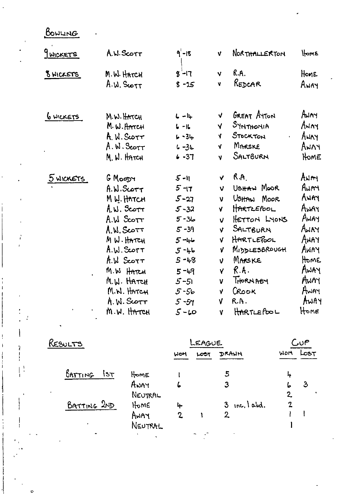BONLING

¢

| 9 WICKETS       | A.N. SCOTT            | $9 - 18$ | V          | NORTHALLERTON | HOME        |
|-----------------|-----------------------|----------|------------|---------------|-------------|
| 8 WICKETS       | M. W. HATCH           | $3 - 17$ | <b>V</b>   | R.A.          | Home        |
|                 | A.W. SCOTT            | $8 - 25$ | V          | REDCAR        | AWAY        |
| <u>GWICKETS</u> | M.W. HATCH            | $L - l$  | $\sqrt{ }$ | GREAT AYTON   | AUMY        |
|                 | M.W.HATCH             | $6 - 16$ | <b>V</b>   | SYNTHONIA     | ANAY        |
|                 | A. W. SCOTT           | $6 - 34$ | <b>V</b>   | STOCKTON      | ANNY        |
|                 | A.W.S <sub>corr</sub> | $6 - 34$ | V          | MARSKE        | <b>ANAY</b> |
|                 | M. W. HATCH           | $6 - 37$ | ۷          | SALTBURN      | HOME        |
| 5 WICKETS       | G Moony               | $5 - 11$ | Â.         | R.A.          | ANAY        |
|                 | A.W.Scorr             | $5 - 17$ | V          | USHAW MOOR    | AWAY        |
|                 | M W. HATCH            | $5 - 27$ | V          | UsttAN MOOR   | Away        |
|                 | $A, W.$ Scott         | $5 - 32$ | Ą.         | HARTLEPOOL    | Away        |
|                 | A.W SCOTT             | $5 - 36$ | ν          | HETTON LYONS  | AWAY        |
|                 | A.W.Scorr             | $5 - 39$ | <b>V</b>   | SALTBURN      | AWAY        |
|                 | MW. HATCH             | $5 - 44$ | Ý.         | HARTLEPOOL    | AWAY        |
|                 | A.W. SCOTT            | $5 - 46$ | γ          | MIDDLESBROUGH | AWAY        |
|                 | A.W SCOTT             | $5 - 48$ | V.         | MARSKE        | Home        |
|                 | M.W HATCH             | $5 - 49$ | Y          | R.A.          | AWAY        |
|                 | M.W. HATCH            | $5 - 51$ | V          | THORNABY      | AWAY        |
|                 | M.N. HATCH            | $5 - 56$ | Ý          | Crook         | Away        |
|                 | A. W. SCOTT           | $5 - 57$ | V          | R.A.          | AWAY        |
| $\pmb{\cdot}$   | M.W. HATCH            | $5 - 10$ | V          | HARTLEPOOL    | Home        |

| RESULTS       |         | <b>EAGUE</b> |      |                |              | ມ∪P  |  |
|---------------|---------|--------------|------|----------------|--------------|------|--|
|               |         | WON          | LOST | DRAWN          | MOM          | LOST |  |
| BATTING<br>55 | HOME    |              |      | 5              | 4            |      |  |
|               | ANAY    | 6            |      | 3              | ю            |      |  |
|               | NEUTRAL |              |      |                | $\mathbf{Z}$ |      |  |
| BATTING 2ND   | Home    | 4            |      | $3$ inc, labd. | $\mathbf 2$  |      |  |
|               | AWAY    | $\mathbf{z}$ |      | 2              |              |      |  |
|               | NEUTRAL |              |      |                |              |      |  |
| ٠             |         |              |      |                |              |      |  |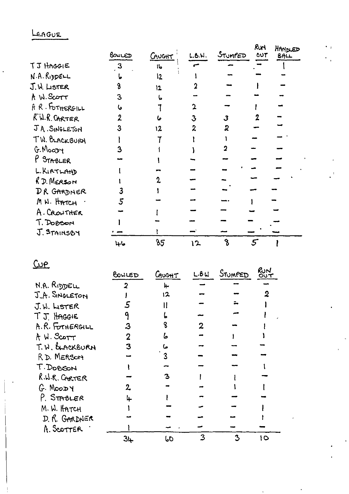## LEAGUE

J.

|                             | BONLED       | CAUCHT       | L.B.N. | STUMPED | Ruri<br><b>OUT</b> | HANDED<br>BAL |  |
|-----------------------------|--------------|--------------|--------|---------|--------------------|---------------|--|
| TJ HAGGIE                   | $\mathbf{3}$ | $\mathbf{I}$ |        |         |                    |               |  |
| N.A. Ri <mark>ppe</mark> LL |              | 12           |        |         |                    |               |  |
| J.W. LISTER                 |              | 12           |        |         |                    |               |  |
| A W. Scott                  | 3            |              |        |         |                    |               |  |
| A R. FOTHERGILL             |              |              |        |         |                    |               |  |
| KW.R. CARTER                |              | Ь            | З      | 3       |                    |               |  |
| JA. SINGLETON               |              | 12           | 2      | 2       |                    |               |  |
| TW. BLACKBURH               |              |              |        |         |                    |               |  |
| G. Moary                    |              |              |        |         |                    |               |  |
| P STABLER                   |              |              |        |         |                    |               |  |
| L. KIRTLAND                 |              |              |        |         |                    |               |  |
| R.D. MERSON                 |              |              |        |         |                    |               |  |
| DR GARDNER                  |              |              |        |         |                    |               |  |
| M. W. HATCH                 | 5            |              |        |         |                    |               |  |
| A. CROWTHER                 |              |              |        |         |                    |               |  |
| T. DoBon                    |              |              |        |         |                    |               |  |
| J. STAINSBY                 |              |              |        |         |                    |               |  |
|                             | 46           | 85           | ነ2     |         | 5                  |               |  |

 $\ddot{\phantom{a}}$ 

 $Q$ </u>

| RuN |
|-----|
|     |
|     |
|     |
|     |
|     |
|     |
|     |
|     |
|     |
|     |
|     |
|     |
|     |
|     |
|     |
|     |
| 10  |
|     |